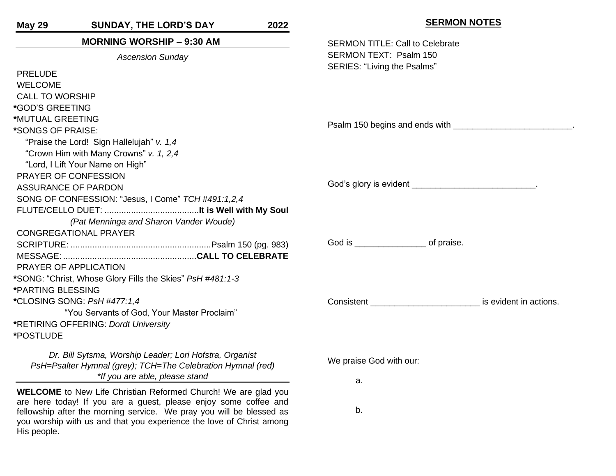| <b>SUNDAY, THE LORD'S DAY</b><br><b>May 29</b>                                                                         | 2022 | <b>SERMON NOTES</b>                                                                                           |  |
|------------------------------------------------------------------------------------------------------------------------|------|---------------------------------------------------------------------------------------------------------------|--|
| <b>MORNING WORSHIP - 9:30 AM</b>                                                                                       |      | <b>SERMON TITLE: Call to Celebrate</b>                                                                        |  |
| <b>Ascension Sunday</b>                                                                                                |      | SERMON TEXT: Psalm 150                                                                                        |  |
| <b>PRELUDE</b>                                                                                                         |      | SERIES: "Living the Psalms"                                                                                   |  |
| <b>WELCOME</b>                                                                                                         |      |                                                                                                               |  |
| <b>CALL TO WORSHIP</b>                                                                                                 |      |                                                                                                               |  |
| *GOD'S GREETING                                                                                                        |      |                                                                                                               |  |
| *MUTUAL GREETING                                                                                                       |      |                                                                                                               |  |
| *SONGS OF PRAISE:                                                                                                      |      |                                                                                                               |  |
| "Praise the Lord! Sign Hallelujah" v. 1,4                                                                              |      |                                                                                                               |  |
| "Crown Him with Many Crowns" v. 1, 2,4                                                                                 |      |                                                                                                               |  |
| "Lord, I Lift Your Name on High"                                                                                       |      |                                                                                                               |  |
| PRAYER OF CONFESSION<br><b>ASSURANCE OF PARDON</b>                                                                     |      |                                                                                                               |  |
|                                                                                                                        |      |                                                                                                               |  |
| SONG OF CONFESSION: "Jesus, I Come" TCH #491:1,2,4                                                                     |      |                                                                                                               |  |
|                                                                                                                        |      |                                                                                                               |  |
| (Pat Menninga and Sharon Vander Woude)                                                                                 |      |                                                                                                               |  |
| <b>CONGREGATIONAL PRAYER</b>                                                                                           |      |                                                                                                               |  |
|                                                                                                                        |      |                                                                                                               |  |
|                                                                                                                        |      |                                                                                                               |  |
| PRAYER OF APPLICATION                                                                                                  |      |                                                                                                               |  |
| *SONG: "Christ, Whose Glory Fills the Skies" PsH #481:1-3                                                              |      |                                                                                                               |  |
| *PARTING BLESSING                                                                                                      |      |                                                                                                               |  |
| *CLOSING SONG: PsH #477:1,4                                                                                            |      | Consistent Consistent Consistent Consistent Consistent Consistent Consistent Consistent Consistent Consistent |  |
| "You Servants of God, Your Master Proclaim"                                                                            |      |                                                                                                               |  |
| *RETIRING OFFERING: Dordt University                                                                                   |      |                                                                                                               |  |
| *POSTLUDE                                                                                                              |      |                                                                                                               |  |
| Dr. Bill Sytsma, Worship Leader; Lori Hofstra, Organist<br>PsH=Psalter Hymnal (grey); TCH=The Celebration Hymnal (red) |      | We praise God with our:                                                                                       |  |
| *If you are able, please stand                                                                                         |      | a.                                                                                                            |  |
| <b>WELCOME</b> to New Life Christian Reformed Church! We are glad you                                                  |      |                                                                                                               |  |

are here today! If you are a guest, please enjoy some coffee and fellowship after the morning service. We pray you will be blessed as you worship with us and that you experience the love of Christ among His people.

b.

**SERMON NOTES**